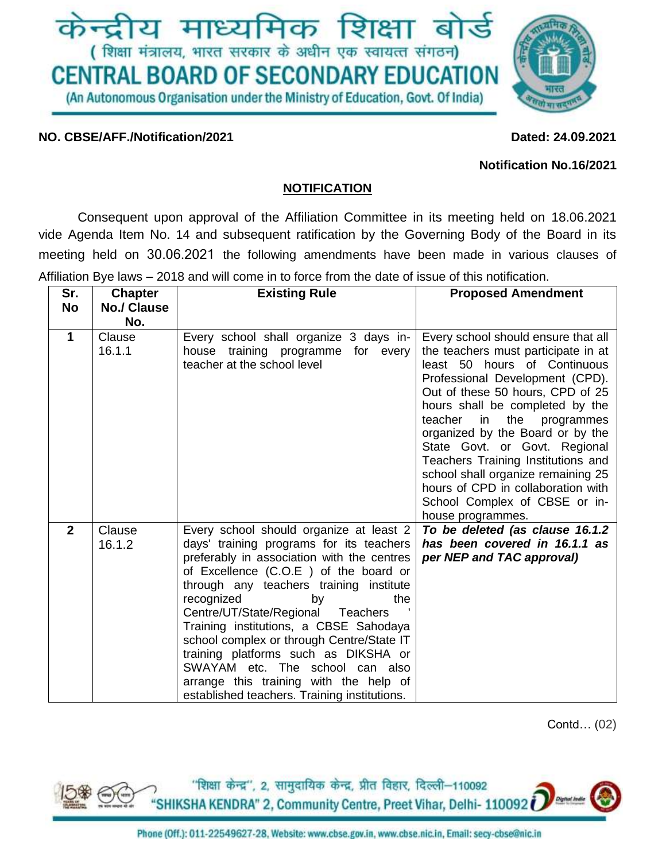

### **NO. CBSE/AFF./Notification/2021 Dated: 24.09.2021**

#### **Notification No.16/2021**

### **NOTIFICATION**

Consequent upon approval of the Affiliation Committee in its meeting held on 18.06.2021 vide Agenda Item No. 14 and subsequent ratification by the Governing Body of the Board in its meeting held on 30.06.2021 the following amendments have been made in various clauses of Affiliation Bye laws – 2018 and will come in to force from the date of issue of this notification.

| Sr.            | <b>Chapter</b>     | <b>Existing Rule</b>                                                                                                                                                                                                                                                                                                                                                                                                                                                                                                                                 | <b>Proposed Amendment</b>                                                                                                                                                                                                                                                                                                                                                                                                                                                                               |
|----------------|--------------------|------------------------------------------------------------------------------------------------------------------------------------------------------------------------------------------------------------------------------------------------------------------------------------------------------------------------------------------------------------------------------------------------------------------------------------------------------------------------------------------------------------------------------------------------------|---------------------------------------------------------------------------------------------------------------------------------------------------------------------------------------------------------------------------------------------------------------------------------------------------------------------------------------------------------------------------------------------------------------------------------------------------------------------------------------------------------|
| <b>No</b>      | <b>No./ Clause</b> |                                                                                                                                                                                                                                                                                                                                                                                                                                                                                                                                                      |                                                                                                                                                                                                                                                                                                                                                                                                                                                                                                         |
|                | No.                |                                                                                                                                                                                                                                                                                                                                                                                                                                                                                                                                                      |                                                                                                                                                                                                                                                                                                                                                                                                                                                                                                         |
| 1              | Clause<br>16.1.1   | Every school shall organize 3 days in-<br>house training programme for every<br>teacher at the school level                                                                                                                                                                                                                                                                                                                                                                                                                                          | Every school should ensure that all<br>the teachers must participate in at<br>least 50 hours of Continuous<br>Professional Development (CPD).<br>Out of these 50 hours, CPD of 25<br>hours shall be completed by the<br>teacher<br>the<br>in<br>programmes<br>organized by the Board or by the<br>State Govt. or Govt. Regional<br>Teachers Training Institutions and<br>school shall organize remaining 25<br>hours of CPD in collaboration with<br>School Complex of CBSE or in-<br>house programmes. |
| $\overline{2}$ | Clause<br>16.1.2   | Every school should organize at least 2<br>days' training programs for its teachers<br>preferably in association with the centres<br>of Excellence (C.O.E) of the board or<br>through any teachers training institute<br>recognized<br>the<br>by<br>Centre/UT/State/Regional<br>Teachers<br>Training institutions, a CBSE Sahodaya<br>school complex or through Centre/State IT<br>training platforms such as DIKSHA or<br>SWAYAM etc. The school can also<br>arrange this training with the help of<br>established teachers. Training institutions. | To be deleted (as clause 16.1.2<br>has been covered in 16.1.1 as<br>per NEP and TAC approval)                                                                                                                                                                                                                                                                                                                                                                                                           |

Contd… (02)

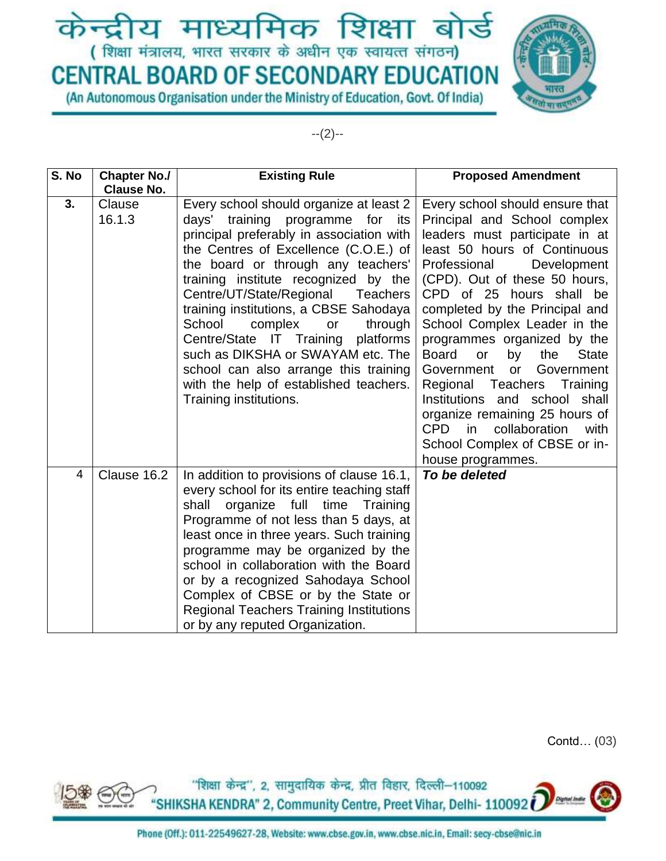## केन्द्रीय माध्यमिक शिक्षा बोर्ड (शिक्षा मंत्रालय, भारत सरकार के अधीन एक स्वायत्त संगठन)

# **CENTRAL BOARD OF SECONDARY EDUCATION**

(An Autonomous Organisation under the Ministry of Education, Govt. Of India)



--(2)--

| S. No          | <b>Chapter No./</b> | <b>Existing Rule</b>                                                                                                                                                                                                                                                                                                                                                                                                                                                                                                                                                        | <b>Proposed Amendment</b>                                                                                                                                                                                                                                                                                                                                                                                                                                                                                                                                                                                                            |
|----------------|---------------------|-----------------------------------------------------------------------------------------------------------------------------------------------------------------------------------------------------------------------------------------------------------------------------------------------------------------------------------------------------------------------------------------------------------------------------------------------------------------------------------------------------------------------------------------------------------------------------|--------------------------------------------------------------------------------------------------------------------------------------------------------------------------------------------------------------------------------------------------------------------------------------------------------------------------------------------------------------------------------------------------------------------------------------------------------------------------------------------------------------------------------------------------------------------------------------------------------------------------------------|
|                | <b>Clause No.</b>   |                                                                                                                                                                                                                                                                                                                                                                                                                                                                                                                                                                             |                                                                                                                                                                                                                                                                                                                                                                                                                                                                                                                                                                                                                                      |
| 3.             | Clause<br>16.1.3    | Every school should organize at least 2<br>training programme for<br>days'<br>its<br>principal preferably in association with<br>the Centres of Excellence (C.O.E.) of<br>the board or through any teachers'<br>training institute recognized by the<br>Centre/UT/State/Regional<br><b>Teachers</b><br>training institutions, a CBSE Sahodaya<br>School<br>complex<br>or<br>through<br>Centre/State IT Training platforms<br>such as DIKSHA or SWAYAM etc. The<br>school can also arrange this training<br>with the help of established teachers.<br>Training institutions. | Every school should ensure that<br>Principal and School complex<br>leaders must participate in at<br>least 50 hours of Continuous<br>Professional<br>Development<br>(CPD). Out of these 50 hours,<br>CPD of 25 hours shall be<br>completed by the Principal and<br>School Complex Leader in the<br>programmes organized by the<br><b>Board</b><br>the<br><b>State</b><br>or<br>by<br>Government<br>Government<br><b>or</b><br>Regional Teachers<br>Training<br>Institutions<br>and school shall<br>organize remaining 25 hours of<br><b>CPD</b><br>collaboration<br>in<br>with<br>School Complex of CBSE or in-<br>house programmes. |
| $\overline{4}$ | Clause 16.2         | In addition to provisions of clause 16.1,<br>every school for its entire teaching staff<br>organize full time<br>Training<br>shall<br>Programme of not less than 5 days, at<br>least once in three years. Such training<br>programme may be organized by the<br>school in collaboration with the Board<br>or by a recognized Sahodaya School<br>Complex of CBSE or by the State or<br><b>Regional Teachers Training Institutions</b><br>or by any reputed Organization.                                                                                                     | To be deleted                                                                                                                                                                                                                                                                                                                                                                                                                                                                                                                                                                                                                        |

Contd… (03)

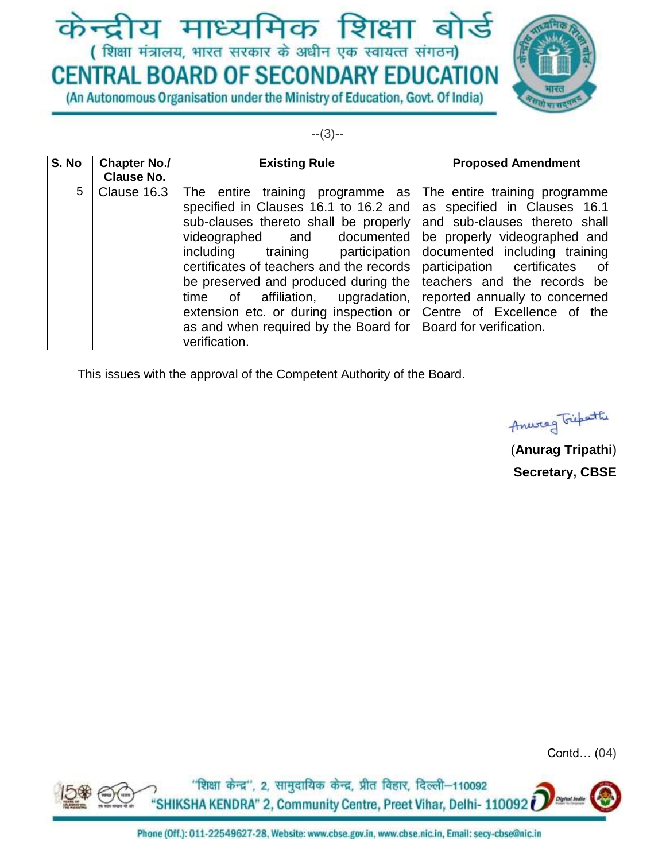## केन्द्रीय माध्यमिक शिक्षा बोर्ड (शिक्षा मंत्रालय, भारत सरकार के अधीन एक स्वायत्त संगठन)

# **CENTRAL BOARD OF SECONDARY EDUCATION**

(An Autonomous Organisation under the Ministry of Education, Govt. Of India)



--(3)--

| S. No | <b>Chapter No./</b>              | <b>Existing Rule</b>                                                                                                                                                                                                                                                                                                                                                                                      | <b>Proposed Amendment</b>                                                                                                                                             |
|-------|----------------------------------|-----------------------------------------------------------------------------------------------------------------------------------------------------------------------------------------------------------------------------------------------------------------------------------------------------------------------------------------------------------------------------------------------------------|-----------------------------------------------------------------------------------------------------------------------------------------------------------------------|
| 5     | <b>Clause No.</b><br>Clause 16.3 | The entire training programme as<br>specified in Clauses 16.1 to 16.2 and as specified in Clauses 16.1<br>sub-clauses thereto shall be properly and sub-clauses thereto shall<br>videographed and documented be properly videographed and<br>training participation<br>including<br>certificates of teachers and the records<br>be preserved and produced during the<br>time of affiliation, upgradation, | The entire training programme<br>documented including training<br>participation certificates<br>ot o<br>teachers and the records be<br>reported annually to concerned |
|       |                                  | extension etc. or during inspection or<br>as and when required by the Board for   Board for verification.<br>verification.                                                                                                                                                                                                                                                                                | Centre of Excellence of the                                                                                                                                           |

This issues with the approval of the Competent Authority of the Board.

Anweg Fifteth

(**Anurag Tripathi**) **Secretary, CBSE**

Contd… (04)